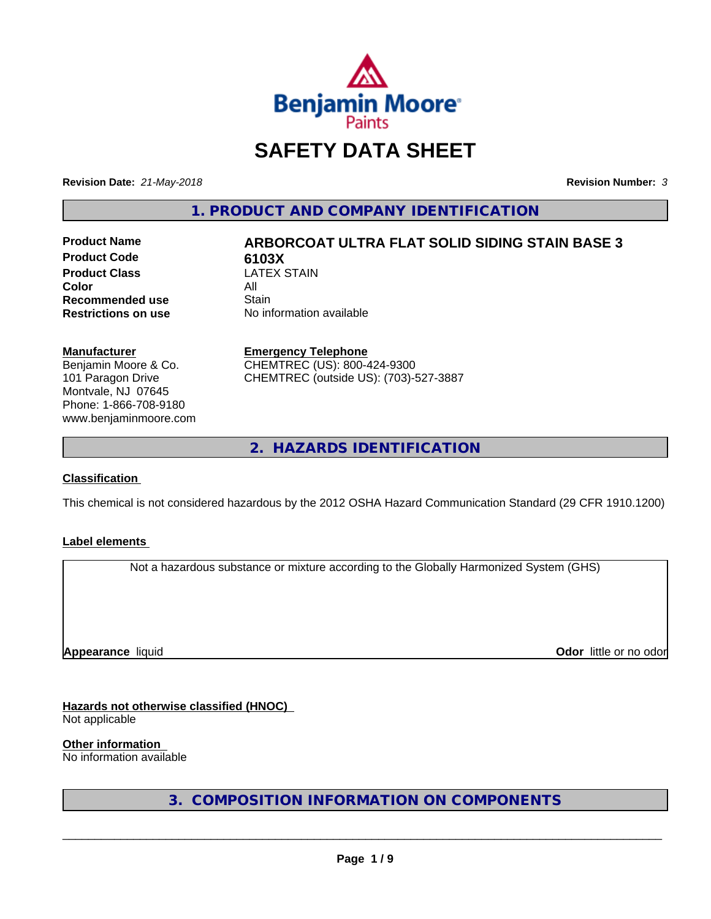

# **SAFETY DATA SHEET**

**Revision Date:** *21-May-2018* **Revision Number:** *3*

**1. PRODUCT AND COMPANY IDENTIFICATION**

**Product Code 6103X**<br>**Product Class CATEX STAIN Product Class** LA<br>**Color** All **Color** All **Recommended use Stain<br>
<b>Restrictions on use** No in

## **Product Name ARBORCOAT ULTRA FLAT SOLID SIDING STAIN BASE 3**

**No information available** 

#### **Manufacturer**

Benjamin Moore & Co. 101 Paragon Drive Montvale, NJ 07645 Phone: 1-866-708-9180 www.benjaminmoore.com

#### **Emergency Telephone**

CHEMTREC (US): 800-424-9300 CHEMTREC (outside US): (703)-527-3887

**2. HAZARDS IDENTIFICATION**

#### **Classification**

This chemical is not considered hazardous by the 2012 OSHA Hazard Communication Standard (29 CFR 1910.1200)

#### **Label elements**

Not a hazardous substance or mixture according to the Globally Harmonized System (GHS)

**Appearance** liquid

**Odor** little or no odor

#### **Hazards not otherwise classified (HNOC)**

Not applicable

**Other information**

No information available

**3. COMPOSITION INFORMATION ON COMPONENTS**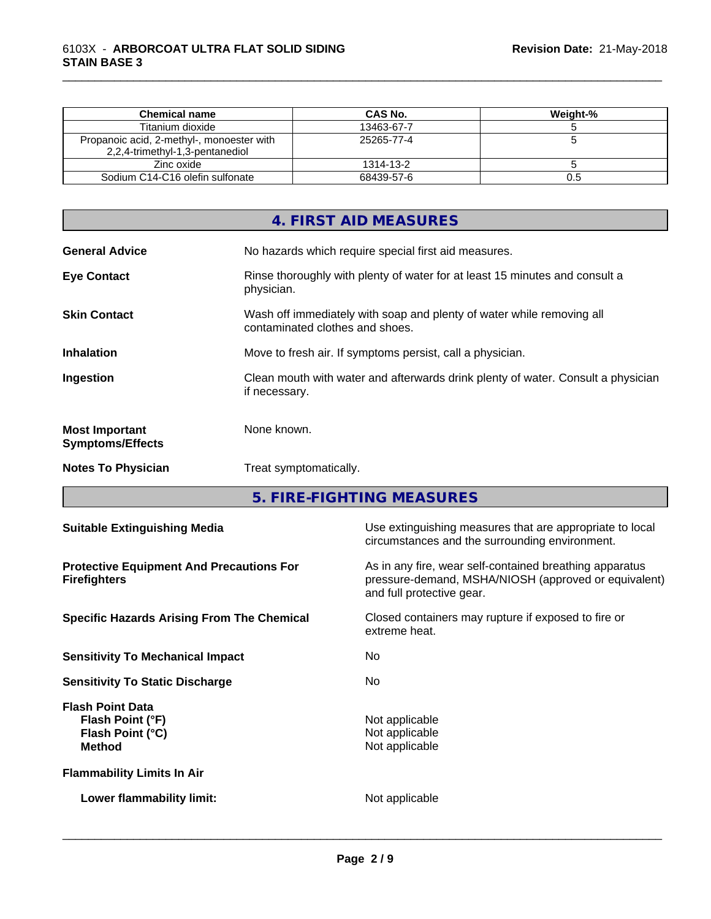| Chemical name                                                                | CAS No.    | Weight-% |
|------------------------------------------------------------------------------|------------|----------|
| Titanium dioxide                                                             | 13463-67-7 |          |
| Propanoic acid, 2-methyl-, monoester with<br>2,2,4-trimethyl-1,3-pentanediol | 25265-77-4 |          |
| Zinc oxide                                                                   | 1314-13-2  |          |
| Sodium C14-C16 olefin sulfonate                                              | 68439-57-6 | U.5      |

\_\_\_\_\_\_\_\_\_\_\_\_\_\_\_\_\_\_\_\_\_\_\_\_\_\_\_\_\_\_\_\_\_\_\_\_\_\_\_\_\_\_\_\_\_\_\_\_\_\_\_\_\_\_\_\_\_\_\_\_\_\_\_\_\_\_\_\_\_\_\_\_\_\_\_\_\_\_\_\_\_\_\_\_\_\_\_\_\_\_\_\_\_

|                                                  | 4. FIRST AID MEASURES                                                                                    |
|--------------------------------------------------|----------------------------------------------------------------------------------------------------------|
| <b>General Advice</b>                            | No hazards which require special first aid measures.                                                     |
| <b>Eye Contact</b>                               | Rinse thoroughly with plenty of water for at least 15 minutes and consult a<br>physician.                |
| <b>Skin Contact</b>                              | Wash off immediately with soap and plenty of water while removing all<br>contaminated clothes and shoes. |
| <b>Inhalation</b>                                | Move to fresh air. If symptoms persist, call a physician.                                                |
| Ingestion                                        | Clean mouth with water and afterwards drink plenty of water. Consult a physician<br>if necessary.        |
| <b>Most Important</b><br><b>Symptoms/Effects</b> | None known.                                                                                              |
| <b>Notes To Physician</b>                        | Treat symptomatically.                                                                                   |

**5. FIRE-FIGHTING MEASURES**

| <b>Suitable Extinguishing Media</b>                                              | Use extinguishing measures that are appropriate to local<br>circumstances and the surrounding environment.                                   |
|----------------------------------------------------------------------------------|----------------------------------------------------------------------------------------------------------------------------------------------|
| <b>Protective Equipment And Precautions For</b><br><b>Firefighters</b>           | As in any fire, wear self-contained breathing apparatus<br>pressure-demand, MSHA/NIOSH (approved or equivalent)<br>and full protective gear. |
| <b>Specific Hazards Arising From The Chemical</b>                                | Closed containers may rupture if exposed to fire or<br>extreme heat.                                                                         |
| <b>Sensitivity To Mechanical Impact</b>                                          | No.                                                                                                                                          |
| <b>Sensitivity To Static Discharge</b>                                           | No.                                                                                                                                          |
| <b>Flash Point Data</b><br>Flash Point (°F)<br>Flash Point (°C)<br><b>Method</b> | Not applicable<br>Not applicable<br>Not applicable                                                                                           |
| <b>Flammability Limits In Air</b>                                                |                                                                                                                                              |
| Lower flammability limit:                                                        | Not applicable                                                                                                                               |
|                                                                                  |                                                                                                                                              |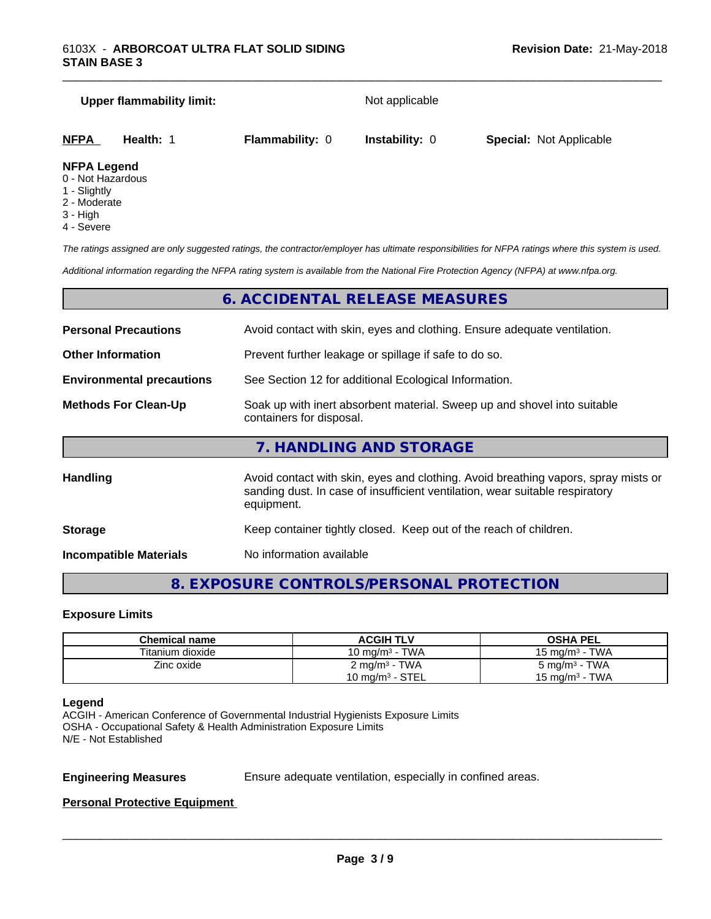# **Upper flammability limit:** Not applicable **NFPA Health:** 1 **Flammability:** 0 **Instability:** 0 **Special:** Not Applicable

\_\_\_\_\_\_\_\_\_\_\_\_\_\_\_\_\_\_\_\_\_\_\_\_\_\_\_\_\_\_\_\_\_\_\_\_\_\_\_\_\_\_\_\_\_\_\_\_\_\_\_\_\_\_\_\_\_\_\_\_\_\_\_\_\_\_\_\_\_\_\_\_\_\_\_\_\_\_\_\_\_\_\_\_\_\_\_\_\_\_\_\_\_

#### **NFPA Legend**

- 0 Not Hazardous
- 1 Slightly
- 2 Moderate
- 3 High
- 4 Severe

*The ratings assigned are only suggested ratings, the contractor/employer has ultimate responsibilities for NFPA ratings where this system is used.*

*Additional information regarding the NFPA rating system is available from the National Fire Protection Agency (NFPA) at www.nfpa.org.*

#### **6. ACCIDENTAL RELEASE MEASURES**

| <b>Personal Precautions</b>      | Avoid contact with skin, eyes and clothing. Ensure adequate ventilation.                                                                                                         |
|----------------------------------|----------------------------------------------------------------------------------------------------------------------------------------------------------------------------------|
| <b>Other Information</b>         | Prevent further leakage or spillage if safe to do so.                                                                                                                            |
| <b>Environmental precautions</b> | See Section 12 for additional Ecological Information.                                                                                                                            |
| <b>Methods For Clean-Up</b>      | Soak up with inert absorbent material. Sweep up and shovel into suitable<br>containers for disposal.                                                                             |
|                                  | 7. HANDLING AND STORAGE                                                                                                                                                          |
| <b>Handling</b>                  | Avoid contact with skin, eyes and clothing. Avoid breathing vapors, spray mists or<br>sanding dust. In case of insufficient ventilation, wear suitable respiratory<br>equipment. |
| <b>Storage</b>                   | Keep container tightly closed. Keep out of the reach of children.                                                                                                                |
|                                  |                                                                                                                                                                                  |

**Incompatible Materials** No information available

#### **8. EXPOSURE CONTROLS/PERSONAL PROTECTION**

#### **Exposure Limits**

| Chemical name    | <b>ACGIH TLV</b>           | <b>OSHA PEL</b>          |
|------------------|----------------------------|--------------------------|
| Titanium dioxide | 10 mg/m <sup>3</sup> - TWA | 15 mg/m $3$ - TWA        |
| Zinc oxide       | 2 mg/m <sup>3</sup> - TWA  | $5 \text{ mg/m}^3$ - TWA |
|                  | 10 mg/m $3$ - STEL         | 15 mg/m $3$ - TWA        |

#### **Legend**

ACGIH - American Conference of Governmental Industrial Hygienists Exposure Limits OSHA - Occupational Safety & Health Administration Exposure Limits N/E - Not Established

**Engineering Measures** Ensure adequate ventilation, especially in confined areas.

 $\overline{\phantom{a}}$  ,  $\overline{\phantom{a}}$  ,  $\overline{\phantom{a}}$  ,  $\overline{\phantom{a}}$  ,  $\overline{\phantom{a}}$  ,  $\overline{\phantom{a}}$  ,  $\overline{\phantom{a}}$  ,  $\overline{\phantom{a}}$  ,  $\overline{\phantom{a}}$  ,  $\overline{\phantom{a}}$  ,  $\overline{\phantom{a}}$  ,  $\overline{\phantom{a}}$  ,  $\overline{\phantom{a}}$  ,  $\overline{\phantom{a}}$  ,  $\overline{\phantom{a}}$  ,  $\overline{\phantom{a}}$ 

#### **Personal Protective Equipment**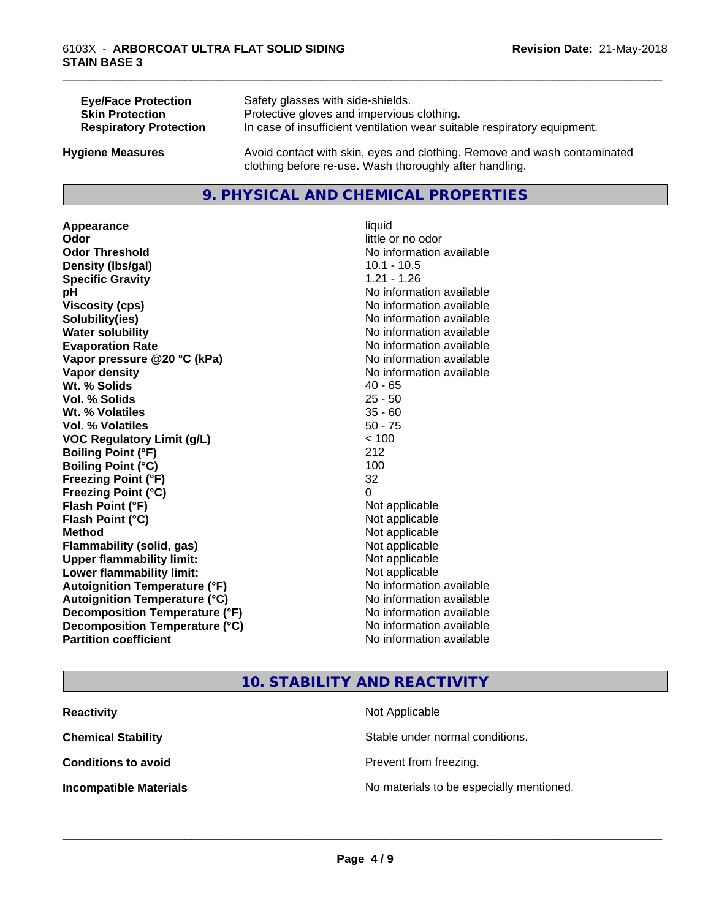| <b>Eye/Face Protection</b>    | Safety glasses with side-shields.                                        |
|-------------------------------|--------------------------------------------------------------------------|
| <b>Skin Protection</b>        | Protective gloves and impervious clothing.                               |
| <b>Respiratory Protection</b> | In case of insufficient ventilation wear suitable respiratory equipment. |
| <b>Hygiene Measures</b>       | Avoid contact with skin, eyes and clothing. Remove and wash contaminated |

#### **9. PHYSICAL AND CHEMICAL PROPERTIES**

clothing before re-use. Wash thoroughly after handling.

**Appearance** liquid **Odor** little or no odor **Odor Threshold No information available No information available Density (lbs/gal)** 10.1 - 10.5 **Specific Gravity** 1.21 - 1.26 **pH** No information available **Viscosity (cps)** No information available **Solubility(ies)** No information available **Water solubility Water solubility Water solubility Water solubility Water solubility Water solution Evaporation Rate No information available No information available Vapor pressure @20 °C (kPa)** No information available **Vapor density No information available Wt.** % Solids 40 - 65 **Vol. % Solids** 25 - 50 **Wt. % Volatiles** 35 - 60 **Vol. % Volatiles** 50 - 75 **VOC Regulatory Limit (g/L)** < 100 **Boiling Point (°F)** 212 **Boiling Point (°C)** 100 **Freezing Point (°F)** 32 **Freezing Point (°C)** 0 **Flash Point (°F)** Not applicable **Flash Point (°C)** Not applicable **Method** Not applicable **Flammability (solid, gas)** Not applicable **Upper flammability limit:** Not applicable **Lower flammability limit:** Not applicable **Autoignition Temperature (°F)** No information available **Autoignition Temperature (°C)** No information available **Decomposition Temperature (°F)** No information available **Decomposition Temperature (°C)** No information available<br> **Partition coefficient Partition available** 

**No information available** 

\_\_\_\_\_\_\_\_\_\_\_\_\_\_\_\_\_\_\_\_\_\_\_\_\_\_\_\_\_\_\_\_\_\_\_\_\_\_\_\_\_\_\_\_\_\_\_\_\_\_\_\_\_\_\_\_\_\_\_\_\_\_\_\_\_\_\_\_\_\_\_\_\_\_\_\_\_\_\_\_\_\_\_\_\_\_\_\_\_\_\_\_\_

#### **10. STABILITY AND REACTIVITY**

| <b>Reactivity</b>             | Not Applicable                           |  |
|-------------------------------|------------------------------------------|--|
| <b>Chemical Stability</b>     | Stable under normal conditions.          |  |
| <b>Conditions to avoid</b>    | Prevent from freezing.                   |  |
| <b>Incompatible Materials</b> | No materials to be especially mentioned. |  |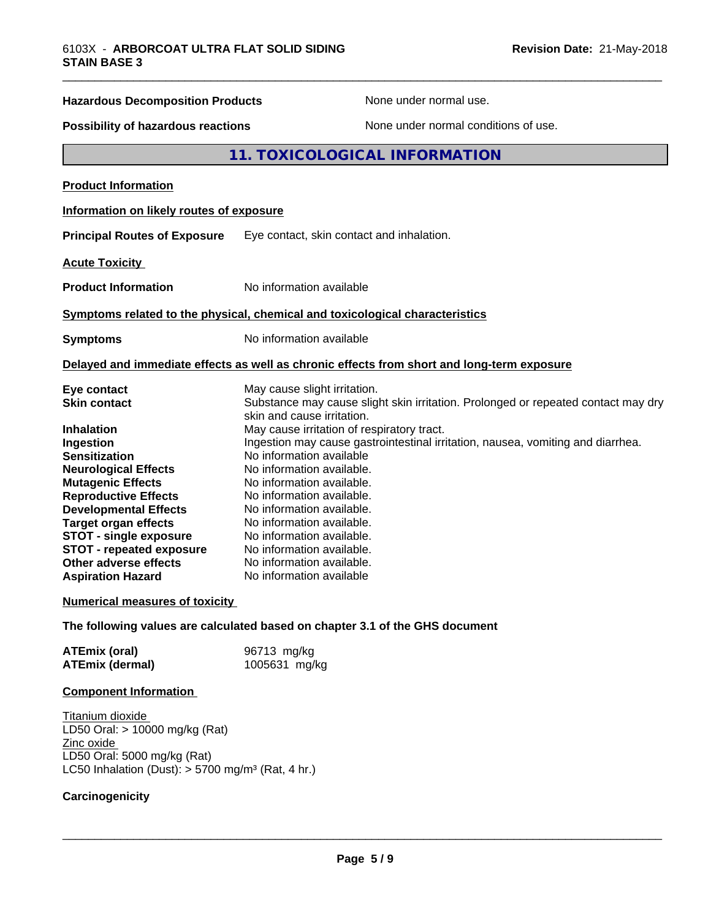| <b>Hazardous Decomposition Products</b>                | None under normal use.                                                                                                                                    |  |
|--------------------------------------------------------|-----------------------------------------------------------------------------------------------------------------------------------------------------------|--|
| Possibility of hazardous reactions                     | None under normal conditions of use.                                                                                                                      |  |
|                                                        | 11. TOXICOLOGICAL INFORMATION                                                                                                                             |  |
| <b>Product Information</b>                             |                                                                                                                                                           |  |
| Information on likely routes of exposure               |                                                                                                                                                           |  |
| <b>Principal Routes of Exposure</b>                    | Eye contact, skin contact and inhalation.                                                                                                                 |  |
| <b>Acute Toxicity</b>                                  |                                                                                                                                                           |  |
| <b>Product Information</b>                             | No information available                                                                                                                                  |  |
|                                                        | Symptoms related to the physical, chemical and toxicological characteristics                                                                              |  |
| <b>Symptoms</b>                                        | No information available                                                                                                                                  |  |
|                                                        | Delayed and immediate effects as well as chronic effects from short and long-term exposure                                                                |  |
| Eye contact<br><b>Skin contact</b>                     | May cause slight irritation.<br>Substance may cause slight skin irritation. Prolonged or repeated contact may dry<br>skin and cause irritation.           |  |
| <b>Inhalation</b><br>Ingestion<br><b>Sensitization</b> | May cause irritation of respiratory tract.<br>Ingestion may cause gastrointestinal irritation, nausea, vomiting and diarrhea.<br>No information available |  |
| <b>Neurological Effects</b>                            | No information available.                                                                                                                                 |  |

**Mutagenic Effects** No information available. **Reproductive Effects** No information available. **Developmental Effects** No information available. **Target organ effects** No information available.<br>**STOT - single exposure** No information available. **STOT -** single exposure Mo information available.<br>**STOT** - repeated exposure No information available. **STOT** - repeated exposure<br>Other adverse effects No information available. **Aspiration Hazard** No information available

#### **Numerical measures of toxicity**

**The following values are calculated based on chapter 3.1 of the GHS document**

| <b>ATEmix (oral)</b>   | 96713 mg/kg   |
|------------------------|---------------|
| <b>ATEmix (dermal)</b> | 1005631 mg/kg |

#### **Component Information**

Titanium dioxide LD50 Oral: > 10000 mg/kg (Rat) Zinc oxide LD50 Oral: 5000 mg/kg (Rat) LC50 Inhalation (Dust):  $> 5700$  mg/m<sup>3</sup> (Rat, 4 hr.)

#### **Carcinogenicity**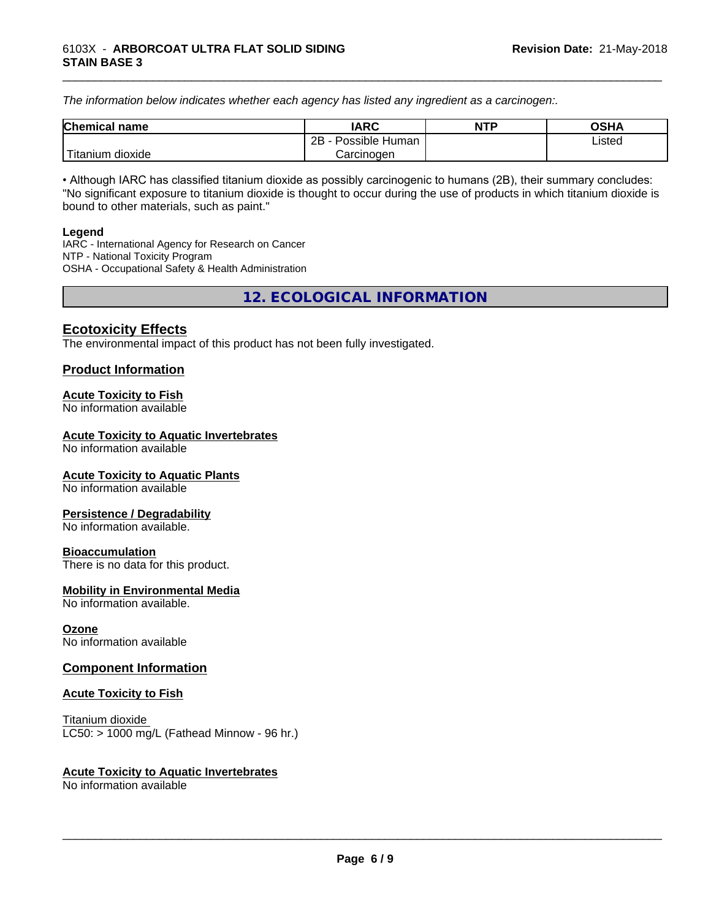*The information below indicateswhether each agency has listed any ingredient as a carcinogen:.*

| <b>Chemical</b><br>name  | <b>IARC</b>                    | <b>NTP</b> | <b>OSHA</b> |
|--------------------------|--------------------------------|------------|-------------|
|                          | . .<br>2B<br>Possible<br>Human |            | Listed<br>. |
| .<br>dioxide<br>⊺itanium | Carcinogen                     |            |             |

\_\_\_\_\_\_\_\_\_\_\_\_\_\_\_\_\_\_\_\_\_\_\_\_\_\_\_\_\_\_\_\_\_\_\_\_\_\_\_\_\_\_\_\_\_\_\_\_\_\_\_\_\_\_\_\_\_\_\_\_\_\_\_\_\_\_\_\_\_\_\_\_\_\_\_\_\_\_\_\_\_\_\_\_\_\_\_\_\_\_\_\_\_

• Although IARC has classified titanium dioxide as possibly carcinogenic to humans (2B), their summary concludes: "No significant exposure to titanium dioxide is thought to occur during the use of products in which titanium dioxide is bound to other materials, such as paint."

#### **Legend**

IARC - International Agency for Research on Cancer NTP - National Toxicity Program OSHA - Occupational Safety & Health Administration

**12. ECOLOGICAL INFORMATION**

#### **Ecotoxicity Effects**

The environmental impact of this product has not been fully investigated.

#### **Product Information**

#### **Acute Toxicity to Fish**

No information available

#### **Acute Toxicity to Aquatic Invertebrates**

No information available

#### **Acute Toxicity to Aquatic Plants**

No information available

#### **Persistence / Degradability**

No information available.

#### **Bioaccumulation**

There is no data for this product.

#### **Mobility in Environmental Media**

No information available.

#### **Ozone**

No information available

#### **Component Information**

#### **Acute Toxicity to Fish**

Titanium dioxide  $LC50:$  > 1000 mg/L (Fathead Minnow - 96 hr.)

#### **Acute Toxicity to Aquatic Invertebrates**

No information available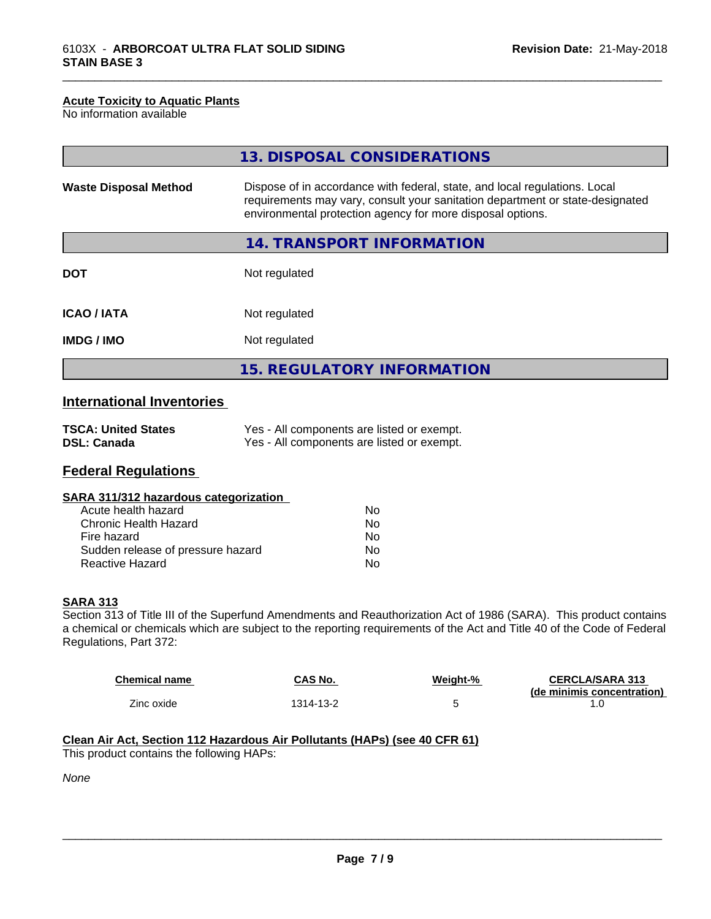#### **Acute Toxicity to Aquatic Plants**

No information available

|                              | 13. DISPOSAL CONSIDERATIONS                                                                                                                                                                                               |
|------------------------------|---------------------------------------------------------------------------------------------------------------------------------------------------------------------------------------------------------------------------|
| <b>Waste Disposal Method</b> | Dispose of in accordance with federal, state, and local regulations. Local<br>requirements may vary, consult your sanitation department or state-designated<br>environmental protection agency for more disposal options. |
|                              | 14. TRANSPORT INFORMATION                                                                                                                                                                                                 |
| <b>DOT</b>                   | Not regulated                                                                                                                                                                                                             |
| <b>ICAO/IATA</b>             | Not regulated                                                                                                                                                                                                             |
| <b>IMDG/IMO</b>              | Not regulated                                                                                                                                                                                                             |
|                              | <b>15. REGULATORY INFORMATION</b>                                                                                                                                                                                         |

\_\_\_\_\_\_\_\_\_\_\_\_\_\_\_\_\_\_\_\_\_\_\_\_\_\_\_\_\_\_\_\_\_\_\_\_\_\_\_\_\_\_\_\_\_\_\_\_\_\_\_\_\_\_\_\_\_\_\_\_\_\_\_\_\_\_\_\_\_\_\_\_\_\_\_\_\_\_\_\_\_\_\_\_\_\_\_\_\_\_\_\_\_

### **International Inventories**

| <b>TSCA: United States</b> | Yes - All components are listed or exempt. |
|----------------------------|--------------------------------------------|
| <b>DSL: Canada</b>         | Yes - All components are listed or exempt. |

#### **Federal Regulations**

|  | SARA 311/312 hazardous categorization |  |
|--|---------------------------------------|--|
|--|---------------------------------------|--|

| Acute health hazard               | N٥ |
|-----------------------------------|----|
| Chronic Health Hazard             | N٥ |
| Fire hazard                       | N٥ |
| Sudden release of pressure hazard | N٥ |
| Reactive Hazard                   | N٥ |

#### **SARA 313**

Section 313 of Title III of the Superfund Amendments and Reauthorization Act of 1986 (SARA). This product contains a chemical or chemicals which are subject to the reporting requirements of the Act and Title 40 of the Code of Federal Regulations, Part 372:

| <b>Chemical name</b> | CAS No.   | Weiaht-% | <b>CERCLA/SARA 313</b><br>(de minimis concentration) |
|----------------------|-----------|----------|------------------------------------------------------|
| Zinc oxide           | 1314-13-2 |          | . . U                                                |

#### **Clean Air Act,Section 112 Hazardous Air Pollutants (HAPs) (see 40 CFR 61)**

This product contains the following HAPs:

*None*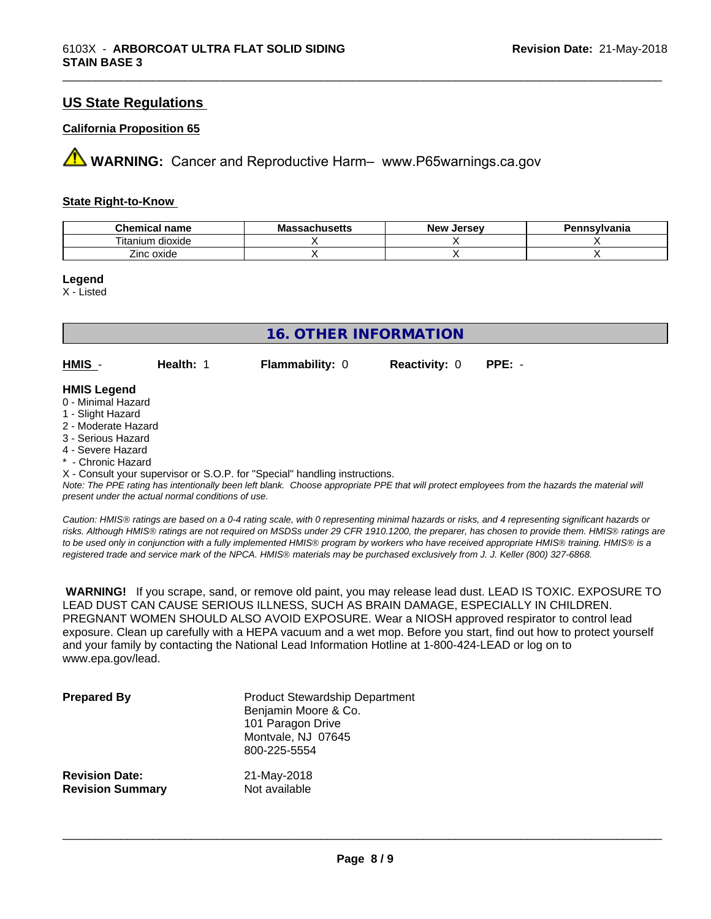#### **US State Regulations**

#### **California Proposition 65**

**AVIMARNING:** Cancer and Reproductive Harm– www.P65warnings.ca.gov

#### **State Right-to-Know**

| <b>Chemical name</b>     | <b>Massachusetts</b> | . Jersev<br><b>N</b> OW<br>NGM | Pennsylvania |
|--------------------------|----------------------|--------------------------------|--------------|
| --<br>itanium<br>dioxide |                      |                                |              |
| Zinc oxide               |                      |                                |              |

\_\_\_\_\_\_\_\_\_\_\_\_\_\_\_\_\_\_\_\_\_\_\_\_\_\_\_\_\_\_\_\_\_\_\_\_\_\_\_\_\_\_\_\_\_\_\_\_\_\_\_\_\_\_\_\_\_\_\_\_\_\_\_\_\_\_\_\_\_\_\_\_\_\_\_\_\_\_\_\_\_\_\_\_\_\_\_\_\_\_\_\_\_

**Legend**

X - Listed

| 16. OTHER INFORMATION                    |           |                        |                      |        |
|------------------------------------------|-----------|------------------------|----------------------|--------|
| $HMIS -$                                 | Health: 1 | <b>Flammability: 0</b> | <b>Reactivity: 0</b> | PPE: - |
| <b>HMIS Legend</b><br>0 - Minimal Hazard |           |                        |                      |        |

#### 1 - Slight Hazard

- 2 Moderate Hazard
- 3 Serious Hazard
- 4 Severe Hazard
- \* Chronic Hazard

X - Consult your supervisor or S.O.P. for "Special" handling instructions.

*Note: The PPE rating has intentionally been left blank. Choose appropriate PPE that will protect employees from the hazards the material will present under the actual normal conditions of use.*

*Caution: HMISÒ ratings are based on a 0-4 rating scale, with 0 representing minimal hazards or risks, and 4 representing significant hazards or risks. Although HMISÒ ratings are not required on MSDSs under 29 CFR 1910.1200, the preparer, has chosen to provide them. HMISÒ ratings are to be used only in conjunction with a fully implemented HMISÒ program by workers who have received appropriate HMISÒ training. HMISÒ is a registered trade and service mark of the NPCA. HMISÒ materials may be purchased exclusively from J. J. Keller (800) 327-6868.*

 **WARNING!** If you scrape, sand, or remove old paint, you may release lead dust. LEAD IS TOXIC. EXPOSURE TO LEAD DUST CAN CAUSE SERIOUS ILLNESS, SUCH AS BRAIN DAMAGE, ESPECIALLY IN CHILDREN. PREGNANT WOMEN SHOULD ALSO AVOID EXPOSURE.Wear a NIOSH approved respirator to control lead exposure. Clean up carefully with a HEPA vacuum and a wet mop. Before you start, find out how to protect yourself and your family by contacting the National Lead Information Hotline at 1-800-424-LEAD or log on to www.epa.gov/lead.

| <b>Prepared By</b>      | <b>Product Stewardship Department</b><br>Benjamin Moore & Co.<br>101 Paragon Drive<br>Montvale, NJ 07645<br>800-225-5554 |
|-------------------------|--------------------------------------------------------------------------------------------------------------------------|
| <b>Revision Date:</b>   | 21-May-2018                                                                                                              |
| <b>Revision Summary</b> | Not available                                                                                                            |